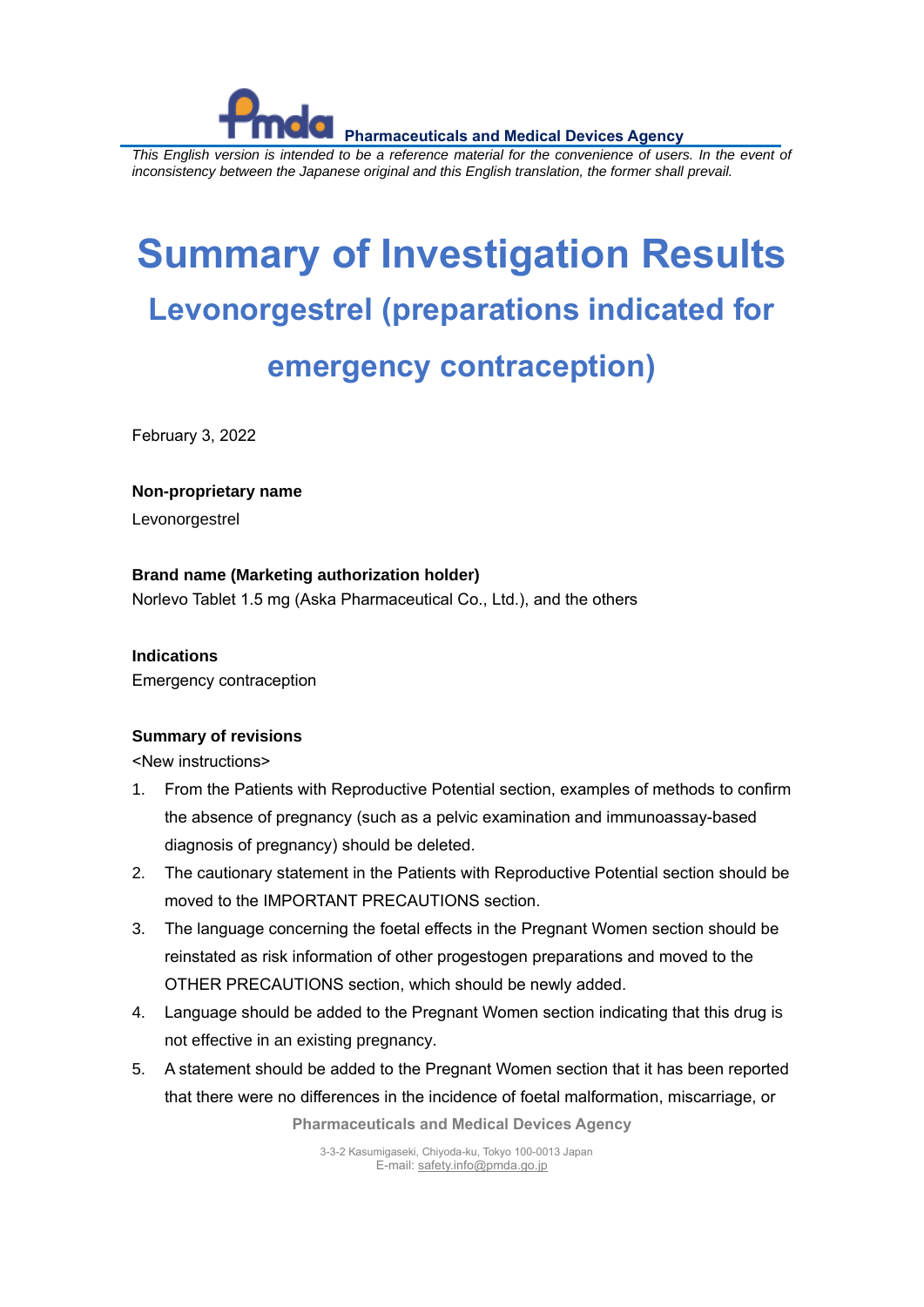

*This English version is intended to be a reference material for the convenience of users. In the event of inconsistency between the Japanese original and this English translation, the former shall prevail.*

# **Summary of Investigation Results Levonorgestrel (preparations indicated for emergency contraception)**

February 3, 2022

#### **Non-proprietary name**

Levonorgestrel

### **Brand name (Marketing authorization holder)**

Norlevo Tablet 1.5 mg (Aska Pharmaceutical Co., Ltd.), and the others

#### **Indications**

Emergency contraception

#### **Summary of revisions**

<New instructions>

- 1. From the Patients with Reproductive Potential section, examples of methods to confirm the absence of pregnancy (such as a pelvic examination and immunoassay-based diagnosis of pregnancy) should be deleted.
- 2. The cautionary statement in the Patients with Reproductive Potential section should be moved to the IMPORTANT PRECAUTIONS section.
- 3. The language concerning the foetal effects in the Pregnant Women section should be reinstated as risk information of other progestogen preparations and moved to the OTHER PRECAUTIONS section, which should be newly added.
- 4. Language should be added to the Pregnant Women section indicating that this drug is not effective in an existing pregnancy.
- 5. A statement should be added to the Pregnant Women section that it has been reported that there were no differences in the incidence of foetal malformation, miscarriage, or

**Pharmaceuticals and Medical Devices Agency**

3-3-2 Kasumigaseki, Chiyoda-ku, Tokyo 100-0013 Japan E-mail[: safety.info@pmda.go.jp](mailto:safety.info@pmda.go.jp)